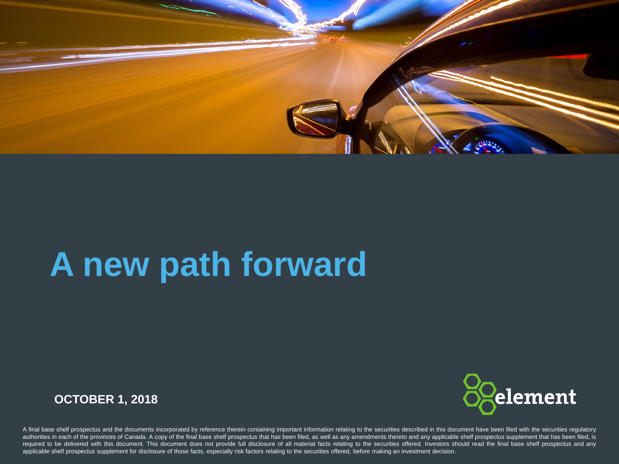

# **A new path forward**

#### **OCTOBER 1, 2018**



A final base shelf prospectus and the documents incorporated by reference therein containing important information relating to the securities described in this document have been filed with the securities regulatory authorities in each of the provinces of Canada. A copy of the final base shelf prospectus that has been filed, as well as any amendments thereto and any applicable shelf prospectus supplement that has been filed, is required to be delivered with this document. This document does not provide full disclosure of all material facts relating to the securities offered. Investors should read the final base shelf prospectus and any applicable shelf prospectus supplement for disclosure of those facts, especially risk factors relating to the securities offered, before making an investment decision.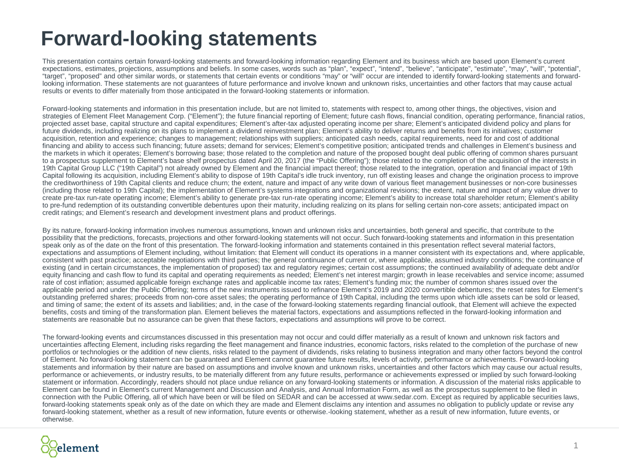## **Forward-looking statements**

This presentation contains certain forward-looking statements and forward-looking information regarding Element and its business which are based upon Element's current expectations, estimates, projections, assumptions and beliefs. In some cases, words such as "plan", "expect", "intend", "believe", "anticipate", "estimate", "may", "will", "potential", "target", "proposed" and other similar words, or statements that certain events or conditions "may" or "will" occur are intended to identify forward-looking statements and forwardlooking information. These statements are not guarantees of future performance and involve known and unknown risks, uncertainties and other factors that may cause actual results or events to differ materially from those anticipated in the forward-looking statements or information.

Forward-looking statements and information in this presentation include, but are not limited to, statements with respect to, among other things, the objectives, vision and strategies of Element Fleet Management Corp. ("Element"); the future financial reporting of Element; future cash flows, financial condition, operating performance, financial ratios, projected asset base, capital structure and capital expenditures; Element's after-tax adjusted operating income per share; Element's anticipated dividend policy and plans for future dividends, including realizing on its plans to implement a dividend reinvestment plan; Element's ability to deliver returns and benefits from its initiatives; customer acquisition, retention and experience; changes to management; relationships with suppliers; anticipated cash needs, capital requirements, need for and cost of additional financing and ability to access such financing; future assets; demand for services; Element's competitive position; anticipated trends and challenges in Element's business and the markets in which it operates; Element's borrowing base; those related to the completion and nature of the proposed bought deal public offering of common shares pursuant to a prospectus supplement to Element's base shelf prospectus dated April 20, 2017 (the "Public Offering"); those related to the completion of the acquisition of the interests in 19th Capital Group LLC ("19th Capital") not already owned by Element and the financial impact thereof; those related to the integration, operation and financial impact of 19th Capital following its acquisition, including Element's ability to dispose of 19th Capital's idle truck inventory, run off existing leases and change the origination process to improve the creditworthiness of 19th Capital clients and reduce churn; the extent, nature and impact of any write down of various fleet management businesses or non-core businesses (including those related to 19th Capital); the implementation of Element's systems integrations and organizational revisions; the extent, nature and impact of any value driver to create pre-tax run-rate operating income; Element's ability to generate pre-tax run-rate operating income; Element's ability to increase total shareholder return; Element's ability to pre-fund redemption of its outstanding convertible debentures upon their maturity, including realizing on its plans for selling certain non-core assets; anticipated impact on credit ratings; and Element's research and development investment plans and product offerings.

By its nature, forward-looking information involves numerous assumptions, known and unknown risks and uncertainties, both general and specific, that contribute to the possibility that the predictions, forecasts, projections and other forward-looking statements will not occur. Such forward-looking statements and information in this presentation speak only as of the date on the front of this presentation. The forward-looking information and statements contained in this presentation reflect several material factors, expectations and assumptions of Element including, without limitation: that Element will conduct its operations in a manner consistent with its expectations and, where applicable, consistent with past practice; acceptable negotiations with third parties; the general continuance of current or, where applicable, assumed industry conditions; the continuance of existing (and in certain circumstances, the implementation of proposed) tax and regulatory regimes; certain cost assumptions; the continued availability of adequate debt and/or equity financing and cash flow to fund its capital and operating requirements as needed; Element's net interest margin; growth in lease receivables and service income; assumed rate of cost inflation; assumed applicable foreign exchange rates and applicable income tax rates; Element's funding mix; the number of common shares issued over the applicable period and under the Public Offering; terms of the new instruments issued to refinance Element's 2019 and 2020 convertible debentures; the reset rates for Element's outstanding preferred shares; proceeds from non-core asset sales; the operating performance of 19th Capital, including the terms upon which idle assets can be sold or leased, and timing of same; the extent of its assets and liabilities; and, in the case of the forward-looking statements regarding financial outlook, that Element will achieve the expected benefits, costs and timing of the transformation plan. Element believes the material factors, expectations and assumptions reflected in the forward-looking information and statements are reasonable but no assurance can be given that these factors, expectations and assumptions will prove to be correct.

The forward-looking events and circumstances discussed in this presentation may not occur and could differ materially as a result of known and unknown risk factors and uncertainties affecting Element, including risks regarding the fleet management and finance industries, economic factors, risks related to the completion of the purchase of new portfolios or technologies or the addition of new clients, risks related to the payment of dividends, risks relating to business integration and many other factors beyond the control of Element. No forward-looking statement can be guaranteed and Element cannot guarantee future results, levels of activity, performance or achievements. Forward-looking statements and information by their nature are based on assumptions and involve known and unknown risks, uncertainties and other factors which may cause our actual results, performance or achievements, or industry results, to be materially different from any future results, performance or achievements expressed or implied by such forward-looking statement or information. Accordingly, readers should not place undue reliance on any forward-looking statements or information. A discussion of the material risks applicable to Element can be found in Element's current Management and Discussion and Analysis, and Annual Information Form, as well as the prospectus supplement to be filed in connection with the Public Offering, all of which have been or will be filed on SEDAR and can be accessed at www.sedar.com. Except as required by applicable securities laws, forward-looking statements speak only as of the date on which they are made and Element disclaims any intention and assumes no obligation to publicly update or revise any forward-looking statement, whether as a result of new information, future events or otherwise.-looking statement, whether as a result of new information, future events, or otherwise.

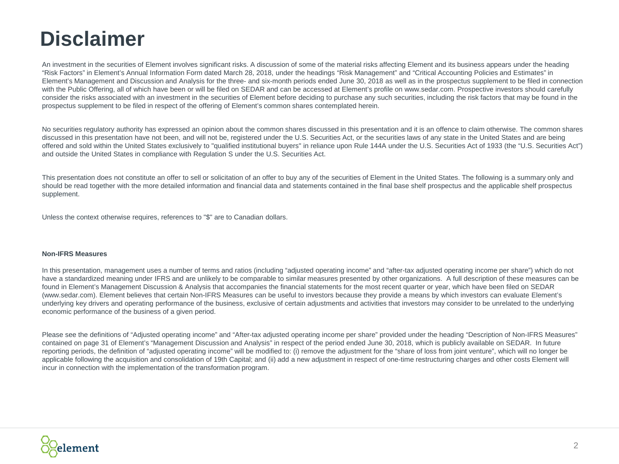## **Disclaimer**

An investment in the securities of Element involves significant risks. A discussion of some of the material risks affecting Element and its business appears under the heading "Risk Factors" in Element's Annual Information Form dated March 28, 2018, under the headings "Risk Management" and "Critical Accounting Policies and Estimates" in Element's Management and Discussion and Analysis for the three- and six-month periods ended June 30, 2018 as well as in the prospectus supplement to be filed in connection with the Public Offering, all of which have been or will be filed on SEDAR and can be accessed at Element's profile on www.sedar.com. Prospective investors should carefully consider the risks associated with an investment in the securities of Element before deciding to purchase any such securities, including the risk factors that may be found in the prospectus supplement to be filed in respect of the offering of Element's common shares contemplated herein.

No securities regulatory authority has expressed an opinion about the common shares discussed in this presentation and it is an offence to claim otherwise. The common shares discussed in this presentation have not been, and will not be, registered under the U.S. Securities Act, or the securities laws of any state in the United States and are being offered and sold within the United States exclusively to "qualified institutional buyers" in reliance upon Rule 144A under the U.S. Securities Act of 1933 (the "U.S. Securities Act") and outside the United States in compliance with Regulation S under the U.S. Securities Act.

This presentation does not constitute an offer to sell or solicitation of an offer to buy any of the securities of Element in the United States. The following is a summary only and should be read together with the more detailed information and financial data and statements contained in the final base shelf prospectus and the applicable shelf prospectus supplement.

Unless the context otherwise requires, references to "\$" are to Canadian dollars.

#### **Non-IFRS Measures**

In this presentation, management uses a number of terms and ratios (including "adjusted operating income" and "after-tax adjusted operating income per share") which do not have a standardized meaning under IFRS and are unlikely to be comparable to similar measures presented by other organizations. A full description of these measures can be found in Element's Management Discussion & Analysis that accompanies the financial statements for the most recent quarter or year, which have been filed on SEDAR (www.sedar.com). Element believes that certain Non-IFRS Measures can be useful to investors because they provide a means by which investors can evaluate Element's underlying key drivers and operating performance of the business, exclusive of certain adjustments and activities that investors may consider to be unrelated to the underlying economic performance of the business of a given period.

Please see the definitions of "Adjusted operating income" and "After-tax adjusted operating income per share" provided under the heading "Description of Non-IFRS Measures" contained on page 31 of Element's "Management Discussion and Analysis" in respect of the period ended June 30, 2018, which is publicly available on SEDAR. In future reporting periods, the definition of "adjusted operating income" will be modified to: (i) remove the adjustment for the "share of loss from joint venture", which will no longer be applicable following the acquisition and consolidation of 19th Capital; and (ii) add a new adjustment in respect of one-time restructuring charges and other costs Element will incur in connection with the implementation of the transformation program.

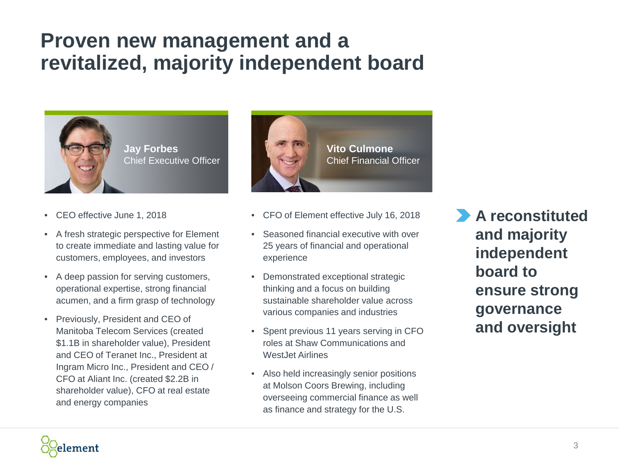### **Proven new management and a revitalized, majority independent board**



- CEO effective June 1, 2018
- A fresh strategic perspective for Element to create immediate and lasting value for customers, employees, and investors
- A deep passion for serving customers, operational expertise, strong financial acumen, and a firm grasp of technology
- Previously, President and CEO of Manitoba Telecom Services (created \$1.1B in shareholder value), President and CEO of Teranet Inc., President at Ingram Micro Inc., President and CEO / CFO at Aliant Inc. (created \$2.2B in shareholder value), CFO at real estate and energy companies



- CFO of Element effective July 16, 2018
- Seasoned financial executive with over 25 years of financial and operational experience
- Demonstrated exceptional strategic thinking and a focus on building sustainable shareholder value across various companies and industries
- Spent previous 11 years serving in CFO roles at Shaw Communications and WestJet Airlines
- Also held increasingly senior positions at Molson Coors Brewing, including overseeing commercial finance as well as finance and strategy for the U.S.

**A reconstituted and majority independent board to ensure strong governance and oversight**

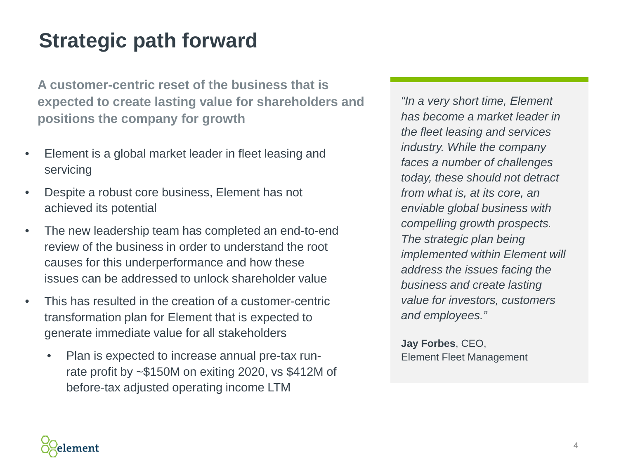## **Strategic path forward**

**A customer-centric reset of the business that is expected to create lasting value for shareholders and positions the company for growth**

- Element is a global market leader in fleet leasing and servicing
- Despite a robust core business, Element has not achieved its potential
- The new leadership team has completed an end-to-end review of the business in order to understand the root causes for this underperformance and how these issues can be addressed to unlock shareholder value
- This has resulted in the creation of a customer-centric transformation plan for Element that is expected to generate immediate value for all stakeholders
	- Plan is expected to increase annual pre-tax runrate profit by ~\$150M on exiting 2020, vs \$412M of before-tax adjusted operating income LTM

*"In a very short time, Element has become a market leader in the fleet leasing and services industry. While the company faces a number of challenges today, these should not detract from what is, at its core, an enviable global business with compelling growth prospects. The strategic plan being implemented within Element will address the issues facing the business and create lasting value for investors, customers and employees."*

**Jay Forbes**, CEO, Element Fleet Management

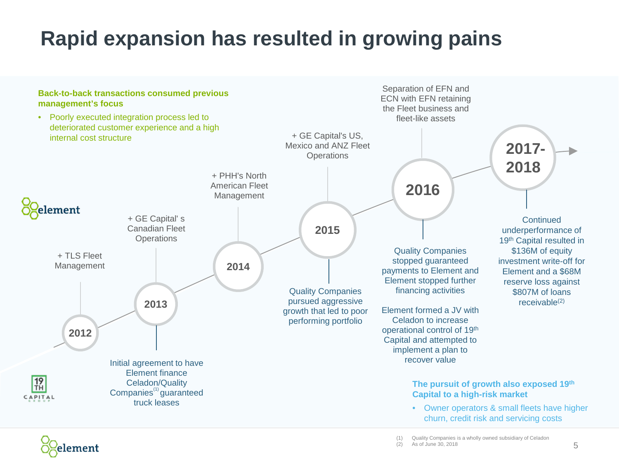## **Rapid expansion has resulted in growing pains**





(2) As of June 30, 2018

<sup>(1)</sup> Quality Companies is a wholly owned subsidiary of Celadon<br>(2) As of June 30, 2018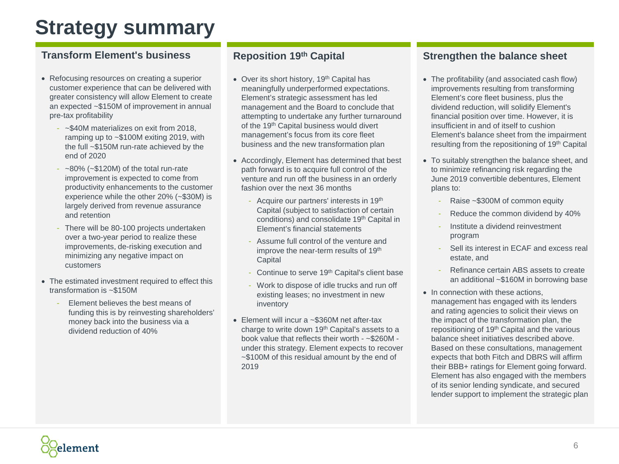## **Strategy summary**

#### **Transform Element's business**

- Refocusing resources on creating a superior customer experience that can be delivered with greater consistency will allow Element to create an expected ~\$150M of improvement in annual pre-tax profitability
	- ~\$40M materializes on exit from 2018, ramping up to ~\$100M exiting 2019, with the full ~\$150M run-rate achieved by the end of 2020
	- $~\sim$ 80% ( $~\sim$ \$120M) of the total run-rate improvement is expected to come from productivity enhancements to the customer experience while the other 20% (~\$30M) is largely derived from revenue assurance and retention
	- There will be 80-100 projects undertaken over a two-year period to realize these improvements, de-risking execution and minimizing any negative impact on customers
- The estimated investment required to effect this transformation is ~\$150M
	- Element believes the best means of funding this is by reinvesting shareholders' money back into the business via a dividend reduction of 40%

#### **Reposition 19th Capital**

- Over its short history, 19<sup>th</sup> Capital has meaningfully underperformed expectations. Element's strategic assessment has led management and the Board to conclude that attempting to undertake any further turnaround of the 19<sup>th</sup> Capital business would divert management's focus from its core fleet business and the new transformation plan
- Accordingly, Element has determined that best path forward is to acquire full control of the venture and run off the business in an orderly fashion over the next 36 months
	- Acquire our partners' interests in 19th Capital (subject to satisfaction of certain conditions) and consolidate 19<sup>th</sup> Capital in Element's financial statements
	- Assume full control of the venture and improve the near-term results of 19<sup>th</sup> **Capital**
	- Continue to serve 19<sup>th</sup> Capital's client base
	- Work to dispose of idle trucks and run off existing leases; no investment in new inventory
- Element will incur a ~\$360M net after-tax charge to write down 19<sup>th</sup> Capital's assets to a book value that reflects their worth - ~\$260M under this strategy. Element expects to recover ~\$100M of this residual amount by the end of 2019

#### **Strengthen the balance sheet**

- The profitability (and associated cash flow) improvements resulting from transforming Element's core fleet business, plus the dividend reduction, will solidify Element's financial position over time. However, it is insufficient in and of itself to cushion Element's balance sheet from the impairment resulting from the repositioning of 19th Capital
- To suitably strengthen the balance sheet, and to minimize refinancing risk regarding the June 2019 convertible debentures, Element plans to:
	- Raise ~\$300M of common equity
	- Reduce the common dividend by 40%
	- Institute a dividend reinvestment program
	- Sell its interest in ECAF and excess real estate, and
	- Refinance certain ABS assets to create an additional ~\$160M in borrowing base
- In connection with these actions, management has engaged with its lenders and rating agencies to solicit their views on the impact of the transformation plan, the repositioning of 19th Capital and the various balance sheet initiatives described above. Based on these consultations, management expects that both Fitch and DBRS will affirm their BBB+ ratings for Element going forward. Element has also engaged with the members of its senior lending syndicate, and secured lender support to implement the strategic plan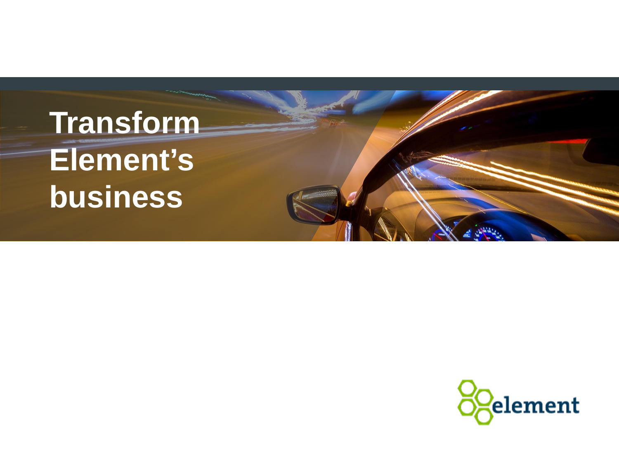## **The Strategic Properties Association Transform Element's business**



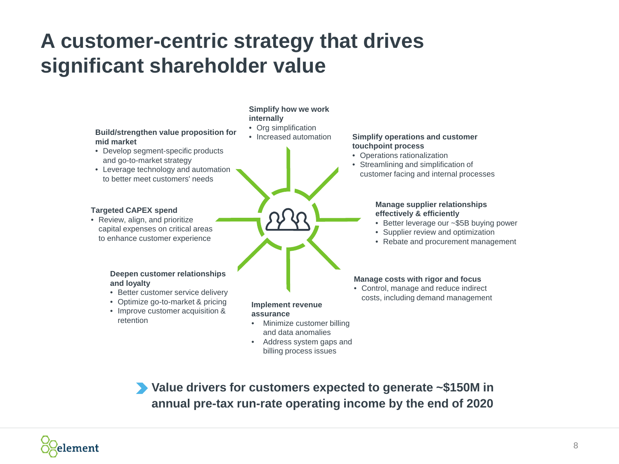## **A customer-centric strategy that drives significant shareholder value**

#### **Build/strengthen value proposition for mid market**

- Develop segment-specific products and go-to-market strategy
- Leverage technology and automation to better meet customers' needs

#### **Targeted CAPEX spend**

• Review, align, and prioritize capital expenses on critical areas to enhance customer experience

#### **Deepen customer relationships and loyalty**

- Better customer service delivery
- Optimize go-to-market & pricing
- Improve customer acquisition & retention

#### **Simplify how we work internally**

- Org simplification
- 

#### • Increased automation **Simplify operations and customer touchpoint process** • Operations rationalization

• Streamlining and simplification of customer facing and internal processes

#### **Manage supplier relationships effectively & efficiently**

- Better leverage our ~\$5B buying power
- Supplier review and optimization
- Rebate and procurement management

#### **Manage costs with rigor and focus**

• Control, manage and reduce indirect costs, including demand management

#### **Implement revenue assurance**

- Minimize customer billing and data anomalies
- Address system gaps and billing process issues

**Value drivers for customers expected to generate ~\$150M in annual pre-tax run-rate operating income by the end of 2020**

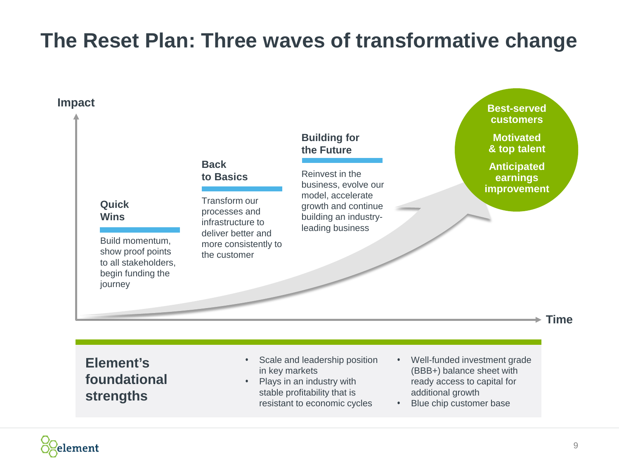## **The Reset Plan: Three waves of transformative change**

#### **Impact**



#### **Time**

**Element's foundational strengths**

- Scale and leadership position in key markets
- Plays in an industry with stable profitability that is resistant to economic cycles
- Well-funded investment grade (BBB+) balance sheet with ready access to capital for additional growth
- Blue chip customer base

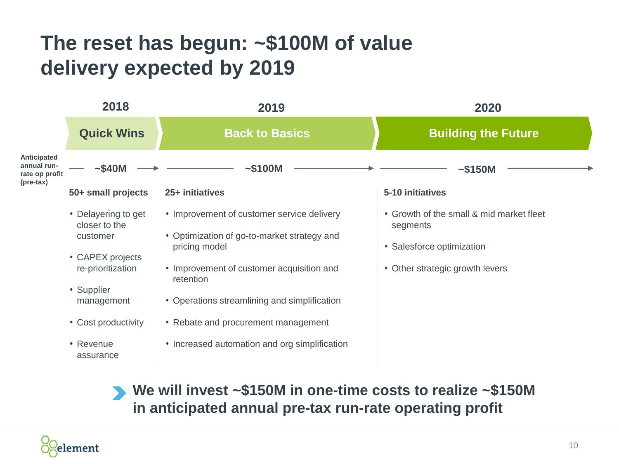## **The reset has begun: ~\$100M of value delivery expected by 2019**



**We will invest ~\$150M in one-time costs to realize ~\$150M in anticipated annual pre-tax run-rate operating profit** 

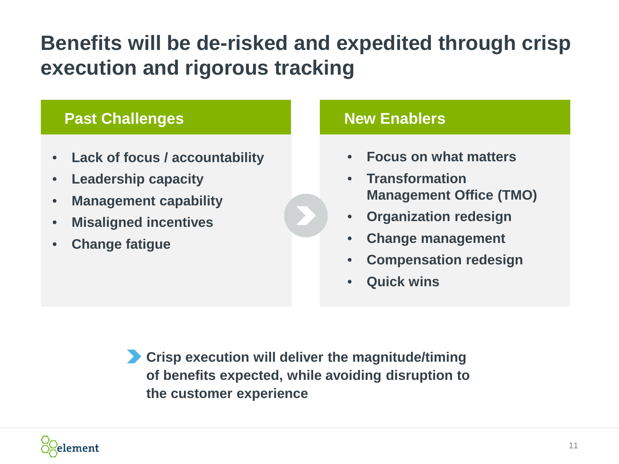## **Benefits will be de-risked and expedited through crisp execution and rigorous tracking**

### **Past Challenges New Enablers**

- **Lack of focus / accountability**
- **Leadership capacity**
- **Management capability**
- **Misaligned incentives**
- **Change fatigue**

- **Focus on what matters**
- **Transformation Management Office (TMO)**
- **Organization redesign**
- **Change management**
- **Compensation redesign**
- **Quick wins**

**Crisp execution will deliver the magnitude/timing of benefits expected, while avoiding disruption to the customer experience** 

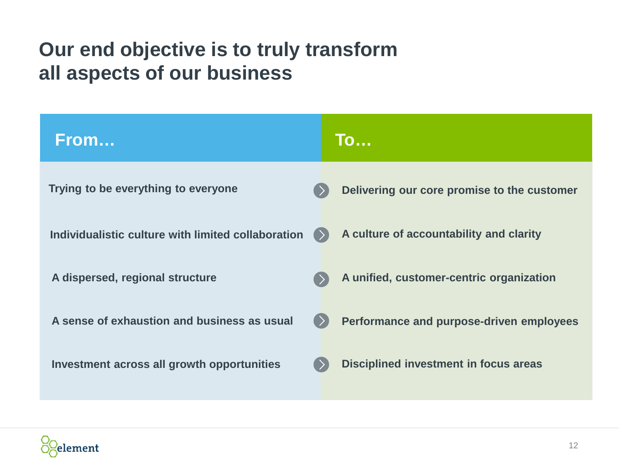## **Our end objective is to truly transform all aspects of our business**

| From                                               | То                                          |
|----------------------------------------------------|---------------------------------------------|
| Trying to be everything to everyone                | Delivering our core promise to the customer |
| Individualistic culture with limited collaboration | A culture of accountability and clarity     |
| A dispersed, regional structure                    | A unified, customer-centric organization    |
| A sense of exhaustion and business as usual        | Performance and purpose-driven employees    |
| Investment across all growth opportunities         | Disciplined investment in focus areas       |

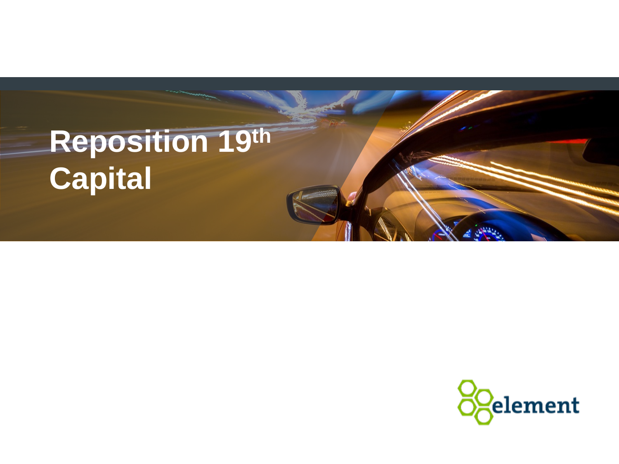# **Reposition 19th Capital**

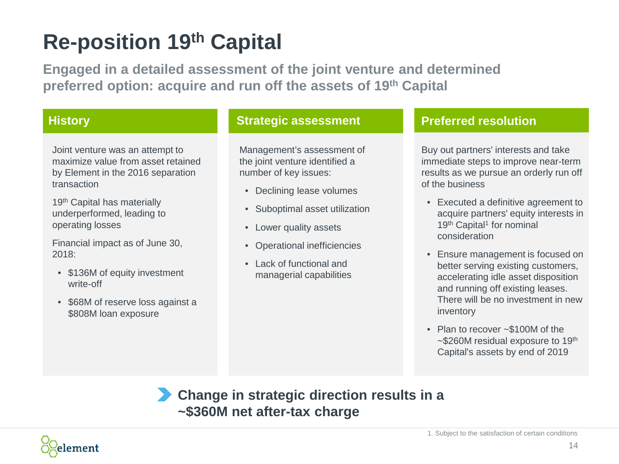## **Re-position 19th Capital**

**Engaged in a detailed assessment of the joint venture and determined preferred option: acquire and run off the assets of 19th Capital**

Joint venture was an attempt to maximize value from asset retained by Element in the 2016 separation transaction

19<sup>th</sup> Capital has materially underperformed, leading to operating losses

Financial impact as of June 30, 2018:

- \$136M of equity investment write-off
- \$68M of reserve loss against a \$808M loan exposure

#### **History Mistory Strategic assessment Preferred resolution**

Management's assessment of the joint venture identified a number of key issues:

- Declining lease volumes
- Suboptimal asset utilization
- Lower quality assets
- Operational inefficiencies
- Lack of functional and managerial capabilities

Buy out partners' interests and take immediate steps to improve near-term results as we pursue an orderly run off of the business

- Executed a definitive agreement to acquire partners' equity interests in 19<sup>th</sup> Capital<sup>1</sup> for nominal consideration
- Ensure management is focused on better serving existing customers, accelerating idle asset disposition and running off existing leases. There will be no investment in new inventory
- Plan to recover ~\$100M of the ~\$260M residual exposure to 19th Capital's assets by end of 2019

### **Change in strategic direction results in a ~\$360M net after-tax charge**

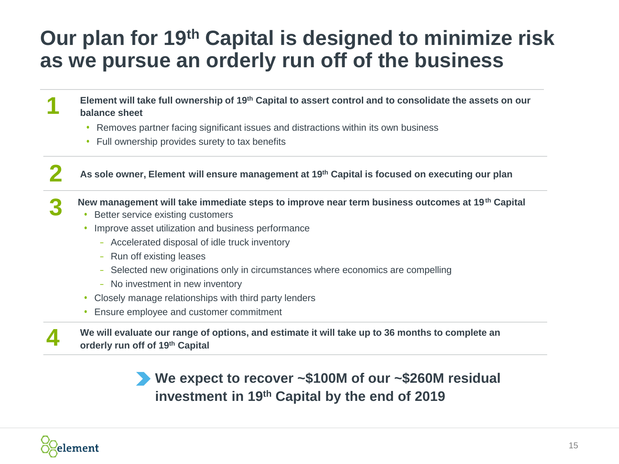### **Our plan for 19th Capital is designed to minimize risk as we pursue an orderly run off of the business**

- **Element will take full ownership of 19th Capital to assert control and to consolidate the assets on our balance sheet 1**
	- Removes partner facing significant issues and distractions within its own business
	- Full ownership provides surety to tax benefits

**As sole owner, Element will ensure management at 19th Capital is focused on executing our plan 2**

**New management will take immediate steps to improve near term business outcomes at 19th Capital** 

- Better service existing customers
- Improve asset utilization and business performance
	- Accelerated disposal of idle truck inventory
	- Run off existing leases
	- Selected new originations only in circumstances where economics are compelling
	- No investment in new inventory
- Closely manage relationships with third party lenders
- Ensure employee and customer commitment

**We will evaluate our range of options, and estimate it will take up to 36 months to complete an orderly run off of 19th Capital**

> **We expect to recover ~\$100M of our ~\$260M residual investment in 19th Capital by the end of 2019**



**3**

**4**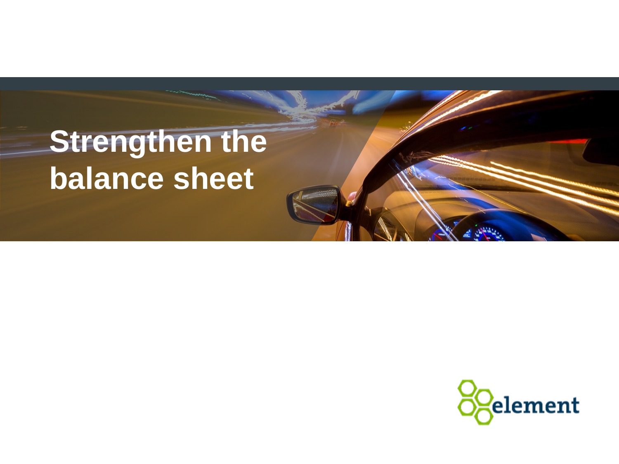# **Strengthen the balance sheet**

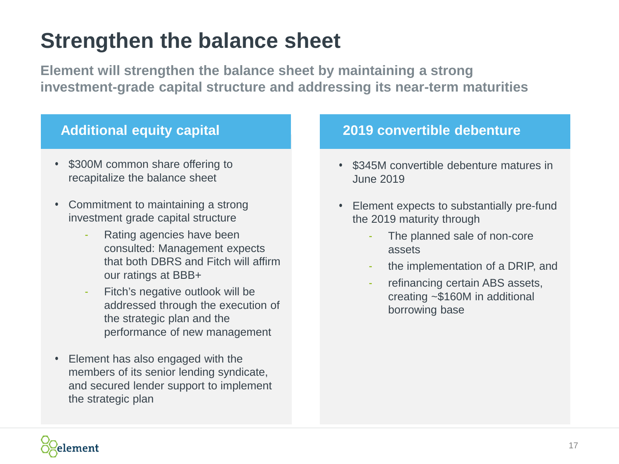## **Strengthen the balance sheet**

**Element will strengthen the balance sheet by maintaining a strong investment-grade capital structure and addressing its near-term maturities**

- \$300M common share offering to recapitalize the balance sheet
- Commitment to maintaining a strong investment grade capital structure
	- Rating agencies have been consulted: Management expects that both DBRS and Fitch will affirm our ratings at BBB+
	- Fitch's negative outlook will be addressed through the execution of the strategic plan and the performance of new management
- Element has also engaged with the members of its senior lending syndicate, and secured lender support to implement the strategic plan

#### **Additional equity capital 2019 convertible debenture**

- \$345M convertible debenture matures in June 2019
- Element expects to substantially pre-fund the 2019 maturity through
	- The planned sale of non-core assets
	- the implementation of a DRIP, and
	- refinancing certain ABS assets, creating ~\$160M in additional borrowing base

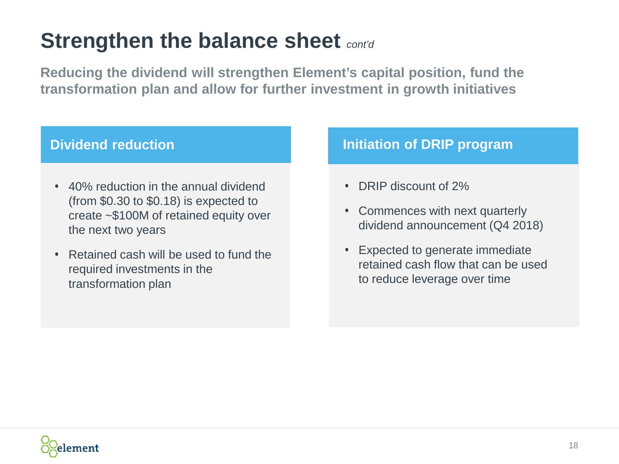## **Strengthen the balance sheet** *cont'd*

**Reducing the dividend will strengthen Element's capital position, fund the transformation plan and allow for further investment in growth initiatives**

- 40% reduction in the annual dividend (from \$0.30 to \$0.18) is expected to create ~\$100M of retained equity over the next two years
- Retained cash will be used to fund the required investments in the transformation plan

### **Dividend reduction Initiation of DRIP program**

- DRIP discount of 2%
- Commences with next quarterly dividend announcement (Q4 2018)
- Expected to generate immediate retained cash flow that can be used to reduce leverage over time

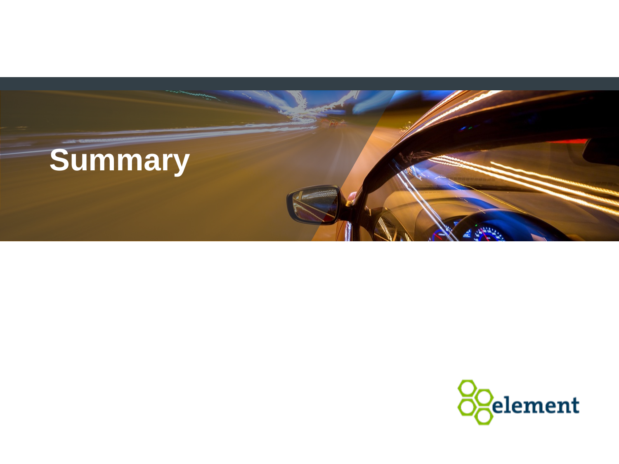

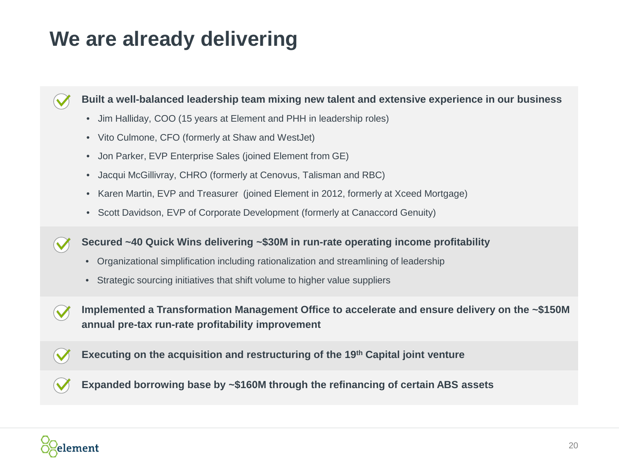## **We are already delivering**

**Built a well-balanced leadership team mixing new talent and extensive experience in our business**

- Jim Halliday, COO (15 years at Element and PHH in leadership roles)
- Vito Culmone, CFO (formerly at Shaw and WestJet)
- Jon Parker, EVP Enterprise Sales (joined Element from GE)
- Jacqui McGillivray, CHRO (formerly at Cenovus, Talisman and RBC)
- Karen Martin, EVP and Treasurer (joined Element in 2012, formerly at Xceed Mortgage)
- Scott Davidson, EVP of Corporate Development (formerly at Canaccord Genuity)

**Secured ~40 Quick Wins delivering ~\$30M in run-rate operating income profitability**

- Organizational simplification including rationalization and streamlining of leadership
- Strategic sourcing initiatives that shift volume to higher value suppliers
- **Implemented a Transformation Management Office to accelerate and ensure delivery on the ~\$150M annual pre-tax run-rate profitability improvement**
- **Executing on the acquisition and restructuring of the 19th Capital joint venture**
- **Expanded borrowing base by ~\$160M through the refinancing of certain ABS assets**

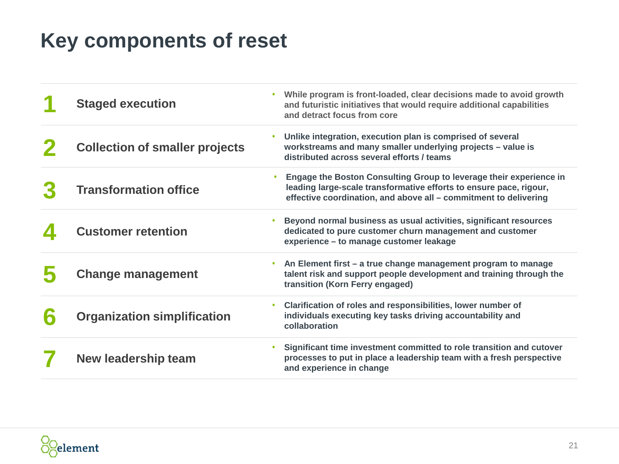## **Key components of reset**

| <b>Staged execution</b>               | While program is front-loaded, clear decisions made to avoid growth<br>$\bullet$<br>and futuristic initiatives that would require additional capabilities<br>and detract focus from core                     |
|---------------------------------------|--------------------------------------------------------------------------------------------------------------------------------------------------------------------------------------------------------------|
| <b>Collection of smaller projects</b> | Unlike integration, execution plan is comprised of several<br>$\bullet$<br>workstreams and many smaller underlying projects - value is<br>distributed across several efforts / teams                         |
| <b>Transformation office</b>          | Engage the Boston Consulting Group to leverage their experience in<br>leading large-scale transformative efforts to ensure pace, rigour,<br>effective coordination, and above all – commitment to delivering |
| <b>Customer retention</b>             | Beyond normal business as usual activities, significant resources<br>dedicated to pure customer churn management and customer<br>experience - to manage customer leakage                                     |
| <b>Change management</b>              | An Element first – a true change management program to manage<br>$\bullet$<br>talent risk and support people development and training through the<br>transition (Korn Ferry engaged)                         |
| <b>Organization simplification</b>    | Clarification of roles and responsibilities, lower number of<br>$\bullet$<br>individuals executing key tasks driving accountability and<br>collaboration                                                     |
| New leadership team                   | Significant time investment committed to role transition and cutover<br>$\bullet$<br>processes to put in place a leadership team with a fresh perspective<br>and experience in change                        |

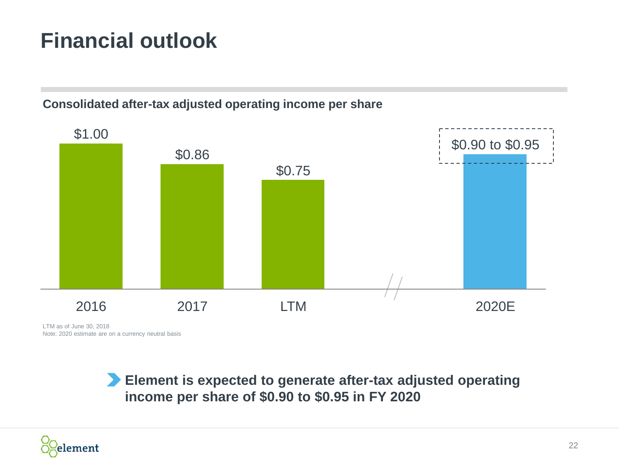## **Financial outlook**



**Consolidated after-tax adjusted operating income per share**

Note: 2020 estimate are on a currency neutral basis

**Element is expected to generate after-tax adjusted operating income per share of \$0.90 to \$0.95 in FY 2020**

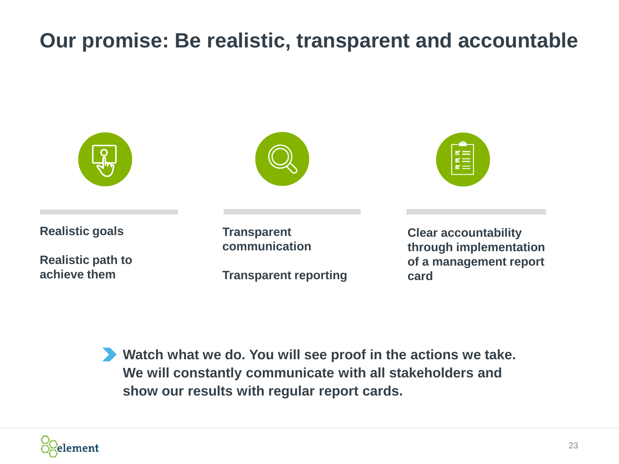## **Our promise: Be realistic, transparent and accountable**



**Watch what we do. You will see proof in the actions we take. We will constantly communicate with all stakeholders and show our results with regular report cards.**